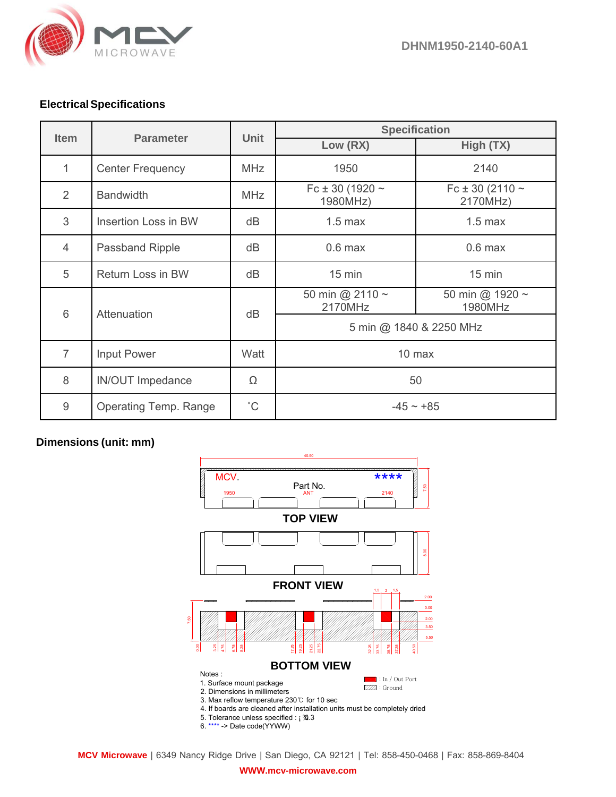

## **Electrical Specifications**

| <b>Item</b>    | <b>Parameter</b>             | <b>Unit</b>  | <b>Specification</b>             |                                  |
|----------------|------------------------------|--------------|----------------------------------|----------------------------------|
|                |                              |              | Low (RX)                         | High (TX)                        |
| 1              | <b>Center Frequency</b>      | <b>MHz</b>   | 1950                             | 2140                             |
| 2              | <b>Bandwidth</b>             | <b>MHz</b>   | Fc ± 30 (1920 $\sim$<br>1980MHz) | Fc ± 30 (2110 $\sim$<br>2170MHz) |
| 3              | Insertion Loss in BW         | dB           | $1.5$ max                        | $1.5$ max                        |
| 4              | <b>Passband Ripple</b>       | dB           | $0.6$ max                        | $0.6$ max                        |
| 5              | Return Loss in BW            | dB           | $15$ min                         | $15$ min                         |
| 6              | Attenuation                  | dB           | 50 min @ 2110 ~<br>2170MHz       | 50 min @ 1920 ~<br>1980MHz       |
|                |                              |              | 5 min @ 1840 & 2250 MHz          |                                  |
| $\overline{7}$ | Input Power                  | Watt         | 10 max                           |                                  |
| 8              | <b>IN/OUT Impedance</b>      | Ω            | 50                               |                                  |
| 9              | <b>Operating Temp. Range</b> | $^{\circ}$ C | $-45 \sim +85$                   |                                  |

## **Dimensions (unit: mm)**



**MCV Microwave** | 6349 Nancy Ridge Drive | San Diego, CA 92121 | Tel: 858-450-0468 | Fax: 858-869-8404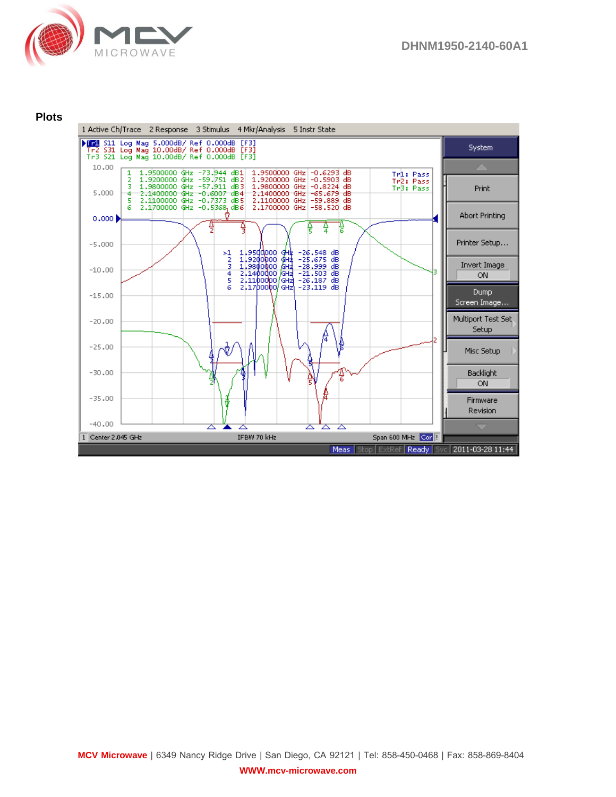